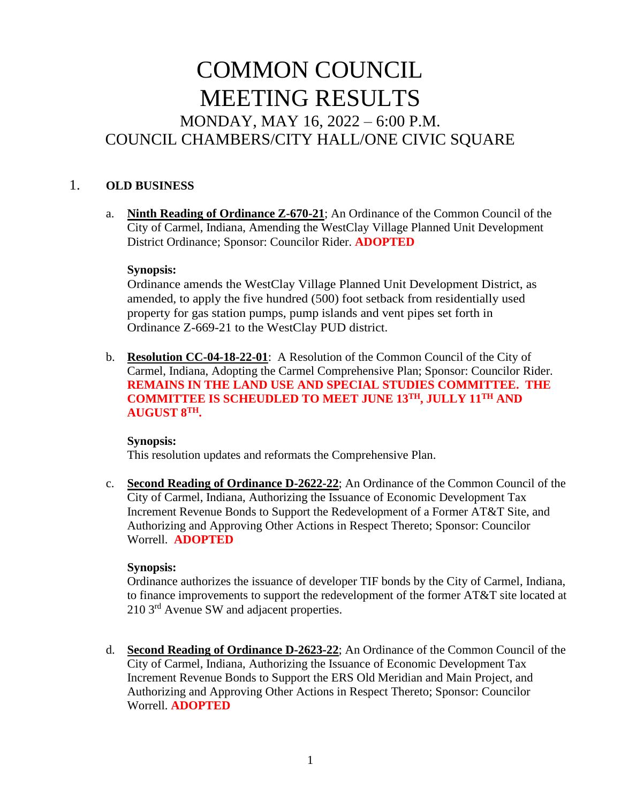# COMMON COUNCIL MEETING RESULTS MONDAY, MAY 16, 2022 – 6:00 P.M. COUNCIL CHAMBERS/CITY HALL/ONE CIVIC SQUARE

## 1. **OLD BUSINESS**

a. **Ninth Reading of Ordinance Z-670-21**; An Ordinance of the Common Council of the City of Carmel, Indiana, Amending the WestClay Village Planned Unit Development District Ordinance; Sponsor: Councilor Rider. **ADOPTED**

#### **Synopsis:**

Ordinance amends the WestClay Village Planned Unit Development District, as amended, to apply the five hundred (500) foot setback from residentially used property for gas station pumps, pump islands and vent pipes set forth in Ordinance Z-669-21 to the WestClay PUD district.

b. **Resolution CC-04-18-22-01**: A Resolution of the Common Council of the City of Carmel, Indiana, Adopting the Carmel Comprehensive Plan; Sponsor: Councilor Rider. **REMAINS IN THE LAND USE AND SPECIAL STUDIES COMMITTEE. THE COMMITTEE IS SCHEUDLED TO MEET JUNE 13TH, JULLY 11TH AND AUGUST 8TH.**

#### **Synopsis:**

This resolution updates and reformats the Comprehensive Plan.

c. **Second Reading of Ordinance D-2622-22**; An Ordinance of the Common Council of the City of Carmel, Indiana, Authorizing the Issuance of Economic Development Tax Increment Revenue Bonds to Support the Redevelopment of a Former AT&T Site, and Authorizing and Approving Other Actions in Respect Thereto; Sponsor: Councilor Worrell. **ADOPTED**

#### **Synopsis:**

Ordinance authorizes the issuance of developer TIF bonds by the City of Carmel, Indiana, to finance improvements to support the redevelopment of the former AT&T site located at 210 3<sup>rd</sup> Avenue SW and adjacent properties.

d. **Second Reading of Ordinance D-2623-22**; An Ordinance of the Common Council of the City of Carmel, Indiana, Authorizing the Issuance of Economic Development Tax Increment Revenue Bonds to Support the ERS Old Meridian and Main Project, and Authorizing and Approving Other Actions in Respect Thereto; Sponsor: Councilor Worrell. **ADOPTED**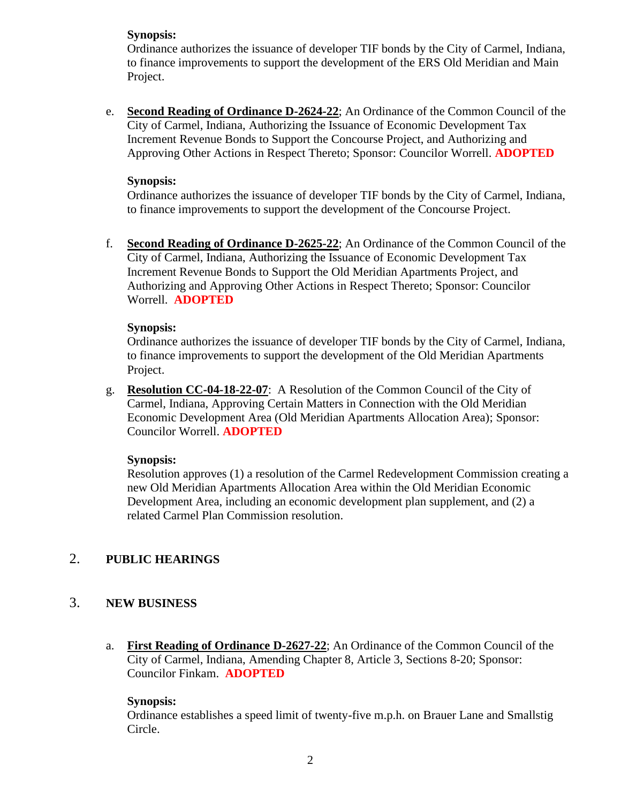#### **Synopsis:**

Ordinance authorizes the issuance of developer TIF bonds by the City of Carmel, Indiana, to finance improvements to support the development of the ERS Old Meridian and Main Project.

e. **Second Reading of Ordinance D-2624-22**; An Ordinance of the Common Council of the City of Carmel, Indiana, Authorizing the Issuance of Economic Development Tax Increment Revenue Bonds to Support the Concourse Project, and Authorizing and Approving Other Actions in Respect Thereto; Sponsor: Councilor Worrell. **ADOPTED**

#### **Synopsis:**

Ordinance authorizes the issuance of developer TIF bonds by the City of Carmel, Indiana, to finance improvements to support the development of the Concourse Project.

f. **Second Reading of Ordinance D-2625-22**; An Ordinance of the Common Council of the City of Carmel, Indiana, Authorizing the Issuance of Economic Development Tax Increment Revenue Bonds to Support the Old Meridian Apartments Project, and Authorizing and Approving Other Actions in Respect Thereto; Sponsor: Councilor Worrell. **ADOPTED**

#### **Synopsis:**

Ordinance authorizes the issuance of developer TIF bonds by the City of Carmel, Indiana, to finance improvements to support the development of the Old Meridian Apartments Project.

g. **Resolution CC-04-18-22-07**: A Resolution of the Common Council of the City of Carmel, Indiana, Approving Certain Matters in Connection with the Old Meridian Economic Development Area (Old Meridian Apartments Allocation Area); Sponsor: Councilor Worrell. **ADOPTED**

#### **Synopsis:**

Resolution approves (1) a resolution of the Carmel Redevelopment Commission creating a new Old Meridian Apartments Allocation Area within the Old Meridian Economic Development Area, including an economic development plan supplement, and (2) a related Carmel Plan Commission resolution.

#### 2. **PUBLIC HEARINGS**

## 3. **NEW BUSINESS**

a. **First Reading of Ordinance D-2627-22**; An Ordinance of the Common Council of the City of Carmel, Indiana, Amending Chapter 8, Article 3, Sections 8-20; Sponsor: Councilor Finkam. **ADOPTED**

#### **Synopsis:**

Ordinance establishes a speed limit of twenty-five m.p.h. on Brauer Lane and Smallstig Circle.